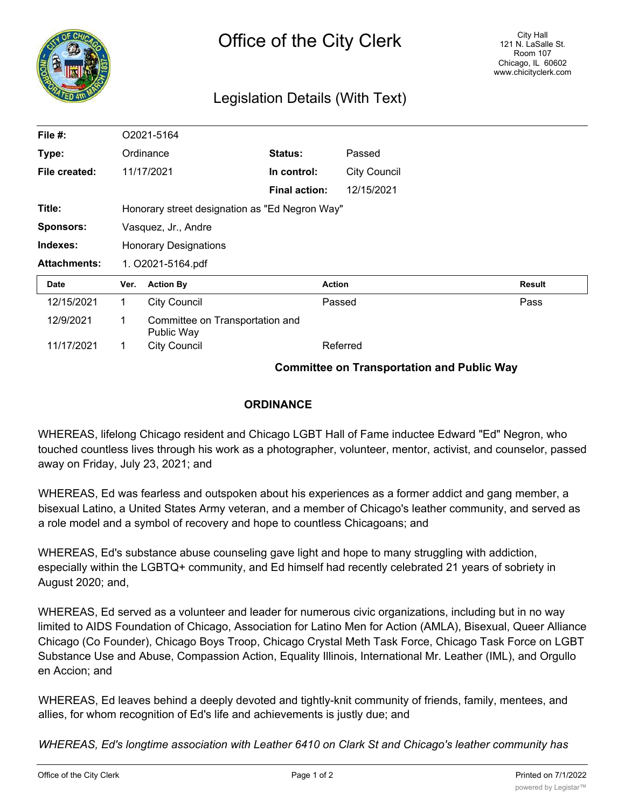

## Legislation Details (With Text)

| File #:             | O2021-5164                                        |                                               |                      |               |                     |               |
|---------------------|---------------------------------------------------|-----------------------------------------------|----------------------|---------------|---------------------|---------------|
| Type:               | Ordinance                                         |                                               | Status:              |               | Passed              |               |
| File created:       |                                                   | 11/17/2021                                    | In control:          |               | <b>City Council</b> |               |
|                     |                                                   |                                               | <b>Final action:</b> |               | 12/15/2021          |               |
| Title:              | Honorary street designation as "Ed Negron Way"    |                                               |                      |               |                     |               |
| <b>Sponsors:</b>    | Vasquez, Jr., Andre                               |                                               |                      |               |                     |               |
| Indexes:            | <b>Honorary Designations</b>                      |                                               |                      |               |                     |               |
| <b>Attachments:</b> | 1. O2021-5164.pdf                                 |                                               |                      |               |                     |               |
| <b>Date</b>         | Ver.                                              | <b>Action By</b>                              |                      | <b>Action</b> |                     | <b>Result</b> |
| 12/15/2021          | 1.                                                | <b>City Council</b>                           |                      | Passed        |                     | Pass          |
| 12/9/2021           | $\mathbf 1$                                       | Committee on Transportation and<br>Public Way |                      |               |                     |               |
| 11/17/2021          | 1                                                 | <b>City Council</b>                           |                      | Referred      |                     |               |
|                     | <b>Committee on Transportation and Public Way</b> |                                               |                      |               |                     |               |

## **ORDINANCE**

WHEREAS, lifelong Chicago resident and Chicago LGBT Hall of Fame inductee Edward "Ed" Negron, who touched countless lives through his work as a photographer, volunteer, mentor, activist, and counselor, passed away on Friday, July 23, 2021; and

WHEREAS, Ed was fearless and outspoken about his experiences as a former addict and gang member, a bisexual Latino, a United States Army veteran, and a member of Chicago's leather community, and served as a role model and a symbol of recovery and hope to countless Chicagoans; and

WHEREAS, Ed's substance abuse counseling gave light and hope to many struggling with addiction, especially within the LGBTQ+ community, and Ed himself had recently celebrated 21 years of sobriety in August 2020; and,

WHEREAS, Ed served as a volunteer and leader for numerous civic organizations, including but in no way limited to AIDS Foundation of Chicago, Association for Latino Men for Action (AMLA), Bisexual, Queer Alliance Chicago (Co Founder), Chicago Boys Troop, Chicago Crystal Meth Task Force, Chicago Task Force on LGBT Substance Use and Abuse, Compassion Action, Equality Illinois, International Mr. Leather (IML), and Orgullo en Accion; and

WHEREAS, Ed leaves behind a deeply devoted and tightly-knit community of friends, family, mentees, and allies, for whom recognition of Ed's life and achievements is justly due; and

*WHEREAS, Ed's longtime association with Leather 6410 on Clark St and Chicago's leather community has*